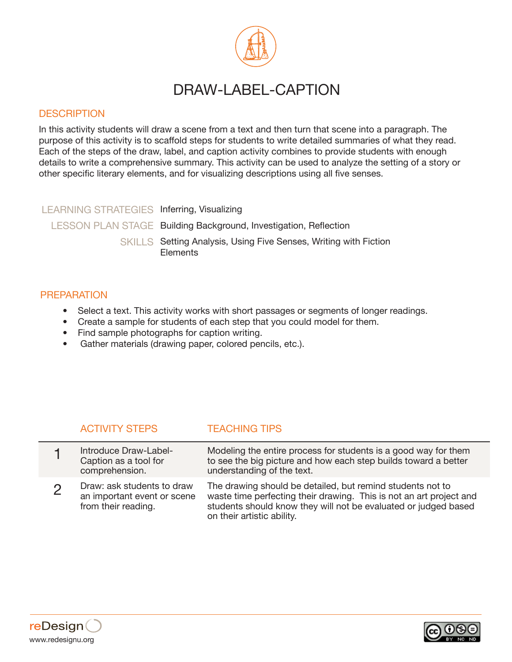

# DRAW-LABEL-CAPTION

## **DESCRIPTION**

In this activity students will draw a scene from a text and then turn that scene into a paragraph. The purpose of this activity is to scaffold steps for students to write detailed summaries of what they read. Each of the steps of the draw, label, and caption activity combines to provide students with enough details to write a comprehensive summary. This activity can be used to analyze the setting of a story or other specific literary elements, and for visualizing descriptions using all five senses.

### LEARNING STRATEGIES Inferring, Visualizing

LESSON PLAN STAGE Building Background, Investigation, Reflection

SKILLS Setting Analysis, Using Five Senses, Writing with Fiction **Elements** 

## PREPARATION

- Select a text. This activity works with short passages or segments of longer readings.
- Create a sample for students of each step that you could model for them.
- Find sample photographs for caption writing.
- Gather materials (drawing paper, colored pencils, etc.).

# ACTIVITY STEPS TEACHING TIPS

| Introduce Draw-Label-<br>Caption as a tool for<br>comprehension.                 | Modeling the entire process for students is a good way for them<br>to see the big picture and how each step builds toward a better<br>understanding of the text.                                                                   |
|----------------------------------------------------------------------------------|------------------------------------------------------------------------------------------------------------------------------------------------------------------------------------------------------------------------------------|
| Draw: ask students to draw<br>an important event or scene<br>from their reading. | The drawing should be detailed, but remind students not to<br>waste time perfecting their drawing. This is not an art project and<br>students should know they will not be evaluated or judged based<br>on their artistic ability. |